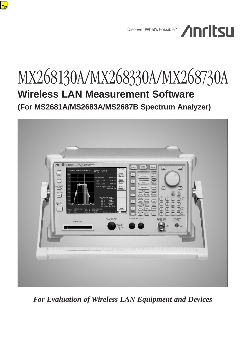

# MX268130A/MX268330A/MX268730A **Wireless LAN Measurement Software (For MS2681A/MS2683A/MS2687B Spectrum Analyzer)**



*For Evaluation of Wireless LAN Equipment and Devices*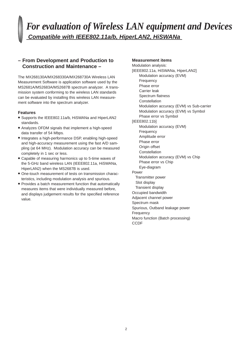# *For evaluation of Wireless LAN equipment and Devices* **Compatible with IEEE802.11a/b, HiperLAN2, HiSWANa**

### **– From Development and Production to Construction and Maintenance –**

The MX268130A/MX268330A/MX268730A Wireless LAN Measurement Software is application software used by the MS2681A/MS2683A/MS2687B spectrum analyzer. A transmission system conforming to the wireless LAN standards can be evaluated by installing this wireless LAN measurement software into the spectrum analyzer.

### **Features**

- **•** Supports the IEEE802.11a/b, HiSWANa and HiperLAN2 standards.
- **•** Analyzes OFDM signals that implement a high-speed data transfer of 54 Mbps.
- **•** Integrates a high-performance DSP, enabling high-speed and high-accuracy measurement using the fast A/D sampling (at 64 MHz). Modulation accuracy can be measured completely in 1 sec or less.
- **•** Capable of measuring harmonics up to 5-time waves of the 5-GHz band wireless LAN (IEEE802.11a, HiSWANa, HiperLAN2) when the MS2687B is used.
- **•** One-touch measurement of tests on transmission characteristics, including modulation analysis and spurious.
- **•** Provides a batch measurement function that automatically measures items that were individually measured before, and displays judgement results for the specified reference value.

### **Measurement items**

Modulation analysis: [IEEE802.11a, HiSWANa, HiperLAN2] Modulation accuracy (EVM) Frequency Phase error Carrier leak Spectrum flatness **Constellation** Modulation accuracy (EVM) vs Sub-carrier Modulation accuracy (EVM) vs Symbol Phase error vs Symbol [IEEE802.11b] Modulation accuracy (EVM) Frequency Amplitude error Phase error Origin offset Constellation Modulation accuracy (EVM) vs Chip Phase error vs Chip Eye-diagram Power Transmitter power Slot display Transient display Occupied bandwidth Adjacent channel power Spectrum mask Spurious, Outband leakage power **Frequency** Macro function (Batch processing) **CCDF**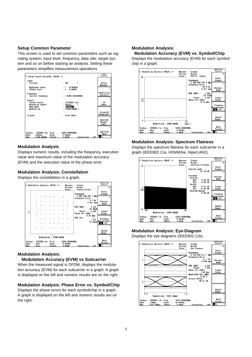### **Setup Common Parameter**

This screen is used to set common parameters such as signaling system, input level, frequency, data rate, target system and so on before starting an analysis. Setting these parameters simplifies measurement operations.



### **Modulation Analysis**

Displays numeric results, including the frequency, execution value and maximum value of the modulation accuracy (EVM) and the execution value of the phase error.

### **Modulation Analysis: Constellation**

Displays the constellation in a graph.



### **Modulation Analysis:**

### **Modulation Accuracy (EVM) vs Subcarrier**

When the measured signal is OFDM, displays the modulation accuracy (EVM) for each subcarrier in a graph. A graph is displayed on the left and numeric results are on the right.

### **Modulation Analysis: Phase Error vs. Symbol/Chip**

Displays the phase errors for each symbol/chip in a graph. A graph is displayed on the left and numeric results are on the right.

### **Modulation Analysis:**

**Modulation Accuracy (EVM) vs. Symbol/Chip** Displays the modulation accuracy (EVM) for each symbol/ chip in a graph.



### **Modulation Analysis: Spectrum Flatness**

Displays the spectrum flatness for each subcarrier in a graph (IEEE802.11a, HiSWANa, HiperLAN2).



### **Modulation Analysis: Eye-Diagram**

Displays the eye diagrams (IEEE802.11b).

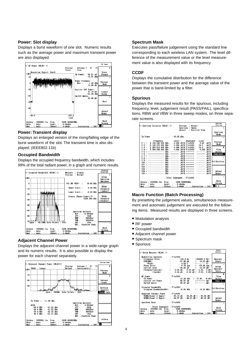### **Power: Slot display**

Displays a burst waveform of one slot. Numeric results such as the average power and maximum transient power are also displayed.



### **Power: Transient display**

Displays an enlarged version of the rising/falling edge of the burst waveform of the slot. The transient time is also displayed. (IEEE802.11b)

### **Occupied Bandwidth**

Displays the occupied frequency bandwidth, which includes 99% of the total radiant power, in a graph and numeric results.



### **Adjacent Channel Power**

Displays the adjacent channel power in a wide-range graph and its numeric results. It is also possible to display the power for each channel separately.



### **Spectrum Mask**

Executes pass/failure judgement using the standard line corresponding to each wireless LAN system. The level difference of the measurement value or the level measurement value is also displayed with its frequency.

### **CCDF**

Displays the cumulative distribution for the difference between the transient power and the average value of the power that is band-limited by a filter.

### **Spurious**

Displays the measured results for the spurious, including frequency, level, judgement result (PASS/FAIL), specifications, RBW and VBW in three sweep modes, on three separate screens.



### **Macro Function (Batch Processing)**

By presetting the judgement values, simultaneous measurement and automatic judgement are executed for the following items. Measured results are displayed in three screens.

- **•** Modulation analysis
- **•** RF power
- **•** Occupied bandwidth
- **•** Adjacent channel power
- **•** Spectrum mask
- **•** Spurious

| K< Batch Measure (WLAN) >>                |                                                                                                                                                                                                                                                                                                                                                                                                                                                                     | <b>Batch</b><br>Heasure |
|-------------------------------------------|---------------------------------------------------------------------------------------------------------------------------------------------------------------------------------------------------------------------------------------------------------------------------------------------------------------------------------------------------------------------------------------------------------------------------------------------------------------------|-------------------------|
| Modulation Analysis                       | $:$ PASS                                                                                                                                                                                                                                                                                                                                                                                                                                                            |                         |
|                                           |                                                                                                                                                                                                                                                                                                                                                                                                                                                                     | Measure                 |
|                                           |                                                                                                                                                                                                                                                                                                                                                                                                                                                                     | Start                   |
|                                           |                                                                                                                                                                                                                                                                                                                                                                                                                                                                     |                         |
|                                           |                                                                                                                                                                                                                                                                                                                                                                                                                                                                     | $\rightarrow$           |
|                                           |                                                                                                                                                                                                                                                                                                                                                                                                                                                                     | Setup                   |
|                                           |                                                                                                                                                                                                                                                                                                                                                                                                                                                                     | Measure                 |
|                                           | $\begin{tabular}{l c c c c c} \hline \textbf{Frequency Error} & $\mathsf{F}\text{-}\mathsf{A}\text{-}\mathsf{S}\text{-}\mathsf{S}$ & $\mathsf{125}\text{-}\mathsf{S}$ & $\mathsf{120}\text{-}00000,0$\text{ }\text{Re}$ \\ \hline \textbf{EWR(RES)} & $\mathsf{1}$ & $-37.96\text{ }\text{dB}$ & $\mathsf{1}$ & $-16.00\text{ }\text{dB}$ \\ \textbf{Pbase Error} & $\mathsf{1}$ & $4.53\text{ }\text{ }\text{ }\text{ } 4.53\text{ }\text{ }\text{ }\text{ } 4.53$ | Table                   |
|                                           |                                                                                                                                                                                                                                                                                                                                                                                                                                                                     | \$                      |
| <b>RF Power</b>                           | $:$ PASS                                                                                                                                                                                                                                                                                                                                                                                                                                                            | View                    |
|                                           |                                                                                                                                                                                                                                                                                                                                                                                                                                                                     | Select                  |
|                                           |                                                                                                                                                                                                                                                                                                                                                                                                                                                                     | Page 1                  |
|                                           |                                                                                                                                                                                                                                                                                                                                                                                                                                                                     | ż                       |
| Occupied Bandwidth : PASS                 |                                                                                                                                                                                                                                                                                                                                                                                                                                                                     |                         |
| Occupied Bandwidth(99%)                   | $: 16.64$ MHz $(18.00$ MHz)                                                                                                                                                                                                                                                                                                                                                                                                                                         | Calibration             |
| Adjacent Channel Power : PASS             |                                                                                                                                                                                                                                                                                                                                                                                                                                                                     |                         |
|                                           |                                                                                                                                                                                                                                                                                                                                                                                                                                                                     |                         |
|                                           | 20MHz(Lower & Upper) : -35.14 dB -35.25 dB ( -25.00 dB)<br>40MHz(Lower & Upper) : -44.37 dB -44.51 dB ( -40.00 dB)                                                                                                                                                                                                                                                                                                                                                  | Adiust                  |
|                                           |                                                                                                                                                                                                                                                                                                                                                                                                                                                                     | Range                   |
| Spectrum Mask : PASS                      |                                                                                                                                                                                                                                                                                                                                                                                                                                                                     | ÷.                      |
| Total Judgement : PASS                    |                                                                                                                                                                                                                                                                                                                                                                                                                                                                     |                         |
| System: IEEE802.11a Freq : 5230.000000MHz |                                                                                                                                                                                                                                                                                                                                                                                                                                                                     | Back                    |
| : Auto $Lewel$ : $-6.00dBn$<br>Rate       |                                                                                                                                                                                                                                                                                                                                                                                                                                                                     | Screen                  |
|                                           |                                                                                                                                                                                                                                                                                                                                                                                                                                                                     | 12                      |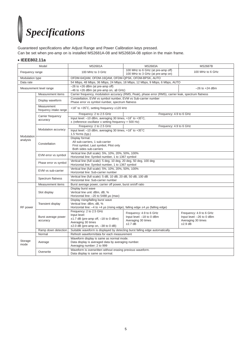# *Specifications*

Guaranteed specifications after Adjust Range and Power Calibration keys pressed. Can be set when pre-amp on is installed MS2681A-08 and MS2683A-08 option in the main frame.

### **• IEEE802.11a**

| Model                  |                                       | <b>MS2681A</b>                                                                                                                                          | <b>MS2683A</b>                                                                        | <b>MS2687B</b>                                                                           |  |
|------------------------|---------------------------------------|---------------------------------------------------------------------------------------------------------------------------------------------------------|---------------------------------------------------------------------------------------|------------------------------------------------------------------------------------------|--|
| Frequency range        |                                       | 100 MHz to 3 GHz                                                                                                                                        | 100 MHz to 6 GHz (at pre-amp off)<br>100 MHz to 3 GHz (at pre-amp on)                 | 100 MHz to 6 GHz                                                                         |  |
| Modulation type        |                                       | OFDM-64QAM, OFDM-16QAM, OFDM-QPSK, OFDM-BPSK, AUTO                                                                                                      |                                                                                       |                                                                                          |  |
| Data rate              |                                       | 54 Mbps, 48 Mbps, 36 Mbps, 24 Mbps, 18 Mbps, 12 Mbps, 9 Mbps, 6 Mbps, AUTO                                                                              |                                                                                       |                                                                                          |  |
|                        | Measurement level range               | $-26$ to $+26$ dBm (at pre-amp off)<br>$-26$ to $+24$ dBm<br>$-46$ to +26 dBm (at pre-amp on, $\leq$ 3 GHz)                                             |                                                                                       |                                                                                          |  |
|                        | Measurement items                     | Carrier frequency, modulation accuracy (RMS, Peak), phase error (RMS), carrier leak, spectrum flatness                                                  |                                                                                       |                                                                                          |  |
|                        | Display waveform                      | Constellation, EVM vs symbol number, EVM vs Sub-carrier number<br>Phase error vs symbol number, spectrum flatness                                       |                                                                                       |                                                                                          |  |
|                        | Measurement<br>frequency intake range | +18° to +35°C, setting frequency ±120 kHz                                                                                                               |                                                                                       |                                                                                          |  |
|                        | Carrier frequency                     | Frequency: 4.9 to 6 GHz<br>Frequency: 2 to 2.5 GHz                                                                                                      |                                                                                       |                                                                                          |  |
|                        | accuracy                              | Input level: -10 dBm, averaging 30 times, +18° to +35°C,<br>$\pm$ (reference oscillator x setting frequency + 500 Hz)                                   |                                                                                       |                                                                                          |  |
|                        |                                       | Frequency: 2 to 2.5 GHz                                                                                                                                 | Frequency: 4.9 to 6 GHz                                                               |                                                                                          |  |
|                        | Modulation accuracy                   | Input level: -10 dBm, averaging 30 times, +18° to +35°C<br>$1.5$ % $rms$ (typ.)                                                                         |                                                                                       |                                                                                          |  |
| Modulation<br>analysis | Constellation                         | Display format:<br>All sub-carriers, 1 sub-carrier<br>First symbol, Last symbol, Pilot only<br>Both sides sub-carriers                                  |                                                                                       |                                                                                          |  |
|                        | EVM error vs symbol                   | Vertical line (full scale): 5%, 10%, 20%, 50%, 100%<br>Horizontal line: Symbol number, 1 to 1367 symbol                                                 |                                                                                       |                                                                                          |  |
|                        | Phase error vs symbol                 | Vertical line (full scale): 5 deg, 10 deg, 20 deg, 50 deg, 100 deg<br>Horizontal line: Symbol number, 1 to 1367 symbol                                  |                                                                                       |                                                                                          |  |
|                        | EVM vs sub-carrier                    | Vertical line (full scale): 5%, 10%, 20%, 50%, 100%<br>Horizontal line: Sub-carrier number                                                              |                                                                                       |                                                                                          |  |
|                        | Spectrum flatness                     | Vertical line (full scale): 5 dB, 10 dB, 20 dB, 50 dB, 100 dB<br>Horizontal line: Sub-carrier number                                                    |                                                                                       |                                                                                          |  |
|                        | Measurement items                     | Burst average power, carrier off power, burst on/off ratio                                                                                              |                                                                                       |                                                                                          |  |
| RF power               | Slot display                          | Display burst wave<br>Vertical line unit: dBm, dB, %<br>Horizontal line: -20 to 5488 µs (max)                                                           |                                                                                       |                                                                                          |  |
|                        | <b>Transient display</b>              | Display rising/falling burst wave<br>Vertical line: dBm. dB. %<br>Horizontal line: $-4$ to $+4$ µs (rising edge), falling edge $±4$ µs (falling edge)   |                                                                                       |                                                                                          |  |
|                        | Burst average power<br>accuracy       | Frequency: 2 to 2.5 GHz<br>Input level:<br>$\pm$ 1.7 dB (pre-amp off, $-18$ to 0 dBm)<br>Averaging 30 times<br>$\pm 2.0$ dB (pre-amp on, $-38$ to 0 dB) | Frequency: 4.9 to 6 GHz<br>Input level: -18 to 0 dBm<br>Averaging 30 times<br>±2.7 dB | Frequency: 4.9 to 6 GHz<br>Input level: - 26 to 0 dBm<br>Averaging 30 times<br>$±2.9$ dB |  |
|                        | Ramp down detection                   | Suitable waveform is displayed by detecting burst falling edge automatically.                                                                           |                                                                                       |                                                                                          |  |
|                        | Normal                                | Refresh waveform/data for each measurement                                                                                                              |                                                                                       |                                                                                          |  |
| Storage<br>mode        | Average                               | Waveform display is same as normal mode.<br>Data display is averaged data by averaging number.<br>Averaging number: 2 to 999                            |                                                                                       |                                                                                          |  |
| Overwrite              |                                       | Waveform is overwritten without erasing previous waveform.<br>Data display is same as normal.                                                           |                                                                                       |                                                                                          |  |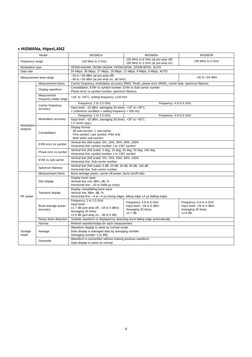### **• HiSWANa, HiperLAN2**

| Model                  |                                       | <b>MS2681A</b>                                                                                                                                           | <b>MS2683A</b>                                                                        | <b>MS2687B</b>                                                                          |  |
|------------------------|---------------------------------------|----------------------------------------------------------------------------------------------------------------------------------------------------------|---------------------------------------------------------------------------------------|-----------------------------------------------------------------------------------------|--|
| Frequency range        |                                       | 100 MHz to 3 GHz                                                                                                                                         | 100 MHz to 6 GHz (at pre-amp off)<br>100 MHz to 3 GHz (at pre-amp on)                 | 100 MHz to 6 GHz                                                                        |  |
| Modulation type        |                                       | OFDM-64QAM, OFDM-16QAM, OFDM-QPSK, OFDM-BPSK, AUTO                                                                                                       |                                                                                       |                                                                                         |  |
| Data rate              |                                       | 54 Mbps, 36 Mbps, 27 Mbps, 18 Mbps, 12 Mbps, 9 Mbps, 6 Mbps, AUTO                                                                                        |                                                                                       |                                                                                         |  |
|                        | Measurement level range               | $-26$ to $+26$ dBm (at pre-amp off)<br>$-26$ to $+24$ dBm<br>$-46$ to $+26$ dBm (at pre-amp on, $\leq$ 3 GHz)                                            |                                                                                       |                                                                                         |  |
|                        | Measurement items                     | Carrier frequency, modulation accuracy (RMS, Peak), phase error (RMS), carrier leak, spectrum flatness                                                   |                                                                                       |                                                                                         |  |
|                        | Display waveform                      | Constellation, EVM vs symbol number, EVM vs Sub-carrier number<br>Phase error vs symbol number, spectrum flatness                                        |                                                                                       |                                                                                         |  |
|                        | Measurement<br>frequency intake range | +18° to +35°C, setting frequency ±120 kHz                                                                                                                |                                                                                       |                                                                                         |  |
|                        | Carrier frequency                     | Frequency: 2 to 2.5 GHz<br>Frequency: 4.9 to 6 GHz                                                                                                       |                                                                                       |                                                                                         |  |
|                        | accuracy                              | Input level: -10 dBm, averaging 30 times, +18° to +35°C,<br>$\pm$ (reference oscillator x setting frequency + 500 Hz)                                    |                                                                                       |                                                                                         |  |
|                        |                                       | Frequency: 2 to 2.5 GHz<br>Frequency: 4.9 to 6 GHz                                                                                                       |                                                                                       |                                                                                         |  |
|                        | Modulation accuracy                   | Input level: -10 dBm, averaging 30 times, +18° to +35°C<br>1.5 %rms (typ.)                                                                               |                                                                                       |                                                                                         |  |
| Modulation<br>analysis | Constellation                         | Display format:<br>All sub-carriers, 1 sub-carrier<br>First symbol, Last symbol, Pilot only<br>Both sides sub-carriers                                   |                                                                                       |                                                                                         |  |
|                        | EVM error vs symbol                   | Vertical line (full scale): 5%, 10%, 20%, 50%, 100%<br>Horizontal line: symbol number 1 to 1367 symbol                                                   |                                                                                       |                                                                                         |  |
|                        | Phase error vs symbol                 | Vertical line (full scale): 5 deg, 10 deg, 20 deg, 50 deg, 100 deg<br>Horizontal line: symbol number 1 to 1367 symbol                                    |                                                                                       |                                                                                         |  |
|                        | EVM vs sub-carrier                    | Vertical line (full scale): 5%, 10%, 20%, 50%, 100%<br>Horizontal line: Sub-carrier number                                                               |                                                                                       |                                                                                         |  |
|                        | Spectrum flatness                     | Vertical line (full scale): 5 dB, 10 dB, 20 dB, 50 dB, 100 dB<br>Horizontal line: Sub-carrier number                                                     |                                                                                       |                                                                                         |  |
|                        | Measurement items                     | Burst average power, carrier off power, burst on/off ratio                                                                                               |                                                                                       |                                                                                         |  |
|                        | Slot display                          | Display burst wave<br>Vertical line unit: dBm, dB, %<br>Horizontal line: -20 to 5488 µs (max)                                                            |                                                                                       |                                                                                         |  |
| RF power               | <b>Transient display</b>              | Display rising/falling burst wave<br>Vertical line: dBm, dB, %<br>Horizontal line: $-4$ to $+4$ µs (rising edge), falling edge $\pm 4$ µs (falling edge) |                                                                                       |                                                                                         |  |
|                        | Burst average power<br>accuracy       | Frequency: 2 to 2.5 GHz<br>Input level:<br>$\pm$ 1.7 dB (pre-amp off, -18 to 0 dBm)<br>Averaging 30 times<br>$\pm 2.0$ dB (pre-amp on, $-38$ to 0 dB)    | Frequency: 4.9 to 6 GHz<br>Input level: -18 to 0 dBm<br>Averaging 30 times<br>±2.7 dB | Frequency: 4.9 to 6 GHz<br>Input level: -26 to 0 dBm<br>Averaging 30 times<br>$±2.9$ dB |  |
|                        | Ramp down detection                   | Suitable waveform is displayed by detecting burst falling edge automatically.                                                                            |                                                                                       |                                                                                         |  |
|                        | Normal                                | Refresh waveform/data for each measurement                                                                                                               |                                                                                       |                                                                                         |  |
| Storage<br>mode        | Average                               | Waveform display is same as normal mode.<br>Data display is averaged data by averaging number.<br>Averaging number: 2 to 999                             |                                                                                       |                                                                                         |  |
|                        | Overwrite                             | Waveform is overwritten without erasing previous waveform.<br>Data display is same as normal.                                                            |                                                                                       |                                                                                         |  |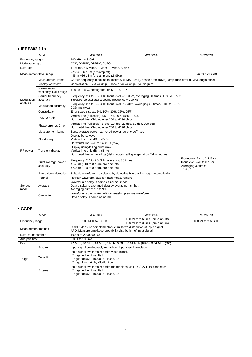### **• IEEE802.11b**

| Model                                                                                                |                                 | <b>MS2681A</b>                                                                                                                                                | MS2683A                                                                            | <b>MS2687B</b>                                                                            |  |
|------------------------------------------------------------------------------------------------------|---------------------------------|---------------------------------------------------------------------------------------------------------------------------------------------------------------|------------------------------------------------------------------------------------|-------------------------------------------------------------------------------------------|--|
| Frequency range                                                                                      |                                 | 100 MHz to 3 GHz                                                                                                                                              |                                                                                    |                                                                                           |  |
| Modulation type                                                                                      |                                 | CCK, DQPSK, DBPSK, AUTO                                                                                                                                       |                                                                                    |                                                                                           |  |
| Data rate                                                                                            |                                 | 11 Mbps, 5.5 Mbps, 2 Mbps, 1 Mbps, AUTO                                                                                                                       |                                                                                    |                                                                                           |  |
|                                                                                                      | Measurement level range         | $-26$ to $+26$ dBm (pre-amp off)<br>$-46$ to $+26$ dBm (pre-amp on, $\leq$ 3 GHz)                                                                             |                                                                                    | $-26$ to $+24$ dBm                                                                        |  |
|                                                                                                      | Measurement items               | Carrier frequency, modulation accuracy (RMS, Peak), phase error (RMS), amplitude error (RMS), origin offset                                                   |                                                                                    |                                                                                           |  |
|                                                                                                      | Display waveform                | Constellation, EVM vs Chip. Phase error vs Chip. Eve-diagram                                                                                                  |                                                                                    |                                                                                           |  |
| Measurement<br>frequency intake range                                                                |                                 | +18° to +35°C, setting frequency ±120 kHz                                                                                                                     |                                                                                    |                                                                                           |  |
| Modulation                                                                                           | Carrier frequency<br>accuracy   | $\pm$ (reference oscillator x setting frequency + 200 Hz)                                                                                                     | Frequency: 2.4 to 2.5 GHz, Input level: -10 dBm, averaging 30 times, +18° to +35°C |                                                                                           |  |
| analysis<br>Modulation accuracy                                                                      |                                 | Frequency: 2.4 to 2.5 GHz, Input level -10 dBm, averaging 30 times, +18° to +35°C<br>$2.3\%$ rms (typ.)                                                       |                                                                                    |                                                                                           |  |
|                                                                                                      | Constellation                   | Error scale display: 5%, 10%, 20%, 35%, OFF                                                                                                                   |                                                                                    |                                                                                           |  |
|                                                                                                      | EVM vs Chip                     | Vertical line (full scale): 5%, 10%, 20%, 50%, 100%<br>Horizontal line: Chip number 256 to 4096 chips                                                         |                                                                                    |                                                                                           |  |
|                                                                                                      | Phase error vs Chip             | Vertical line (full scale): 5 deg, 10 deg, 20 deg, 50 deg, 100 deg<br>Horizontal line: Chip number 256 to 4096 chips                                          |                                                                                    |                                                                                           |  |
|                                                                                                      | Measurement items               | Burst average power, carrier off power, burst on/off ratio                                                                                                    |                                                                                    |                                                                                           |  |
|                                                                                                      | Slot display                    | Display burst wave<br>Vertical line unit: dBm, dB, %<br>Horizontal line: -20 to 5488 µs (max)                                                                 |                                                                                    |                                                                                           |  |
| RF power                                                                                             | Transient display               | Display rising/falling burst wave<br>Vertical line unit: dBm, dB, %<br>Horizontal line: $-4$ to $+4$ µs (rising edge), falling edge $\pm 4$ µs (falling edge) |                                                                                    |                                                                                           |  |
|                                                                                                      | Burst average power<br>accuracy | Frequency: 2.4 to 2.5 GHz, averaging 30 times<br>$±1.7$ dB ( $-18$ to 0 dBm, pre-amp off)<br>$\pm 2.0$ dB (-38 to 0 dBm, pre-amp on)                          |                                                                                    | Frequency: 2.4 to 2.5 GHz<br>Input level: -26 to 0 dBm<br>Averaging 30 times<br>$±1.9$ dB |  |
| Ramp down detection<br>Suitable waveform is displayed by detecting burst falling edge automatically. |                                 |                                                                                                                                                               |                                                                                    |                                                                                           |  |
|                                                                                                      | Normal                          | Refresh waveform/data for each measurement                                                                                                                    |                                                                                    |                                                                                           |  |
| Storage<br>mode                                                                                      | Average                         | Waveform display is same as normal mode.<br>Data display is averaged data by averaging number.<br>Averaging number: 2 to 999                                  |                                                                                    |                                                                                           |  |
|                                                                                                      | Overwrite                       | Waveform is overwritten without erasing previous waveform.<br>Data display is same as normal.                                                                 |                                                                                    |                                                                                           |  |

### **• CCDF**

|                                                                                                                                                              | Model    | MS2681A                                                                                                                                                     | MS2683A                                                         | <b>MS2687B</b>   |  |
|--------------------------------------------------------------------------------------------------------------------------------------------------------------|----------|-------------------------------------------------------------------------------------------------------------------------------------------------------------|-----------------------------------------------------------------|------------------|--|
| Frequency range                                                                                                                                              |          | 100 MHz to 3 GHz                                                                                                                                            | 100 MHz to 6 GHz (pre-amp off)<br>100 MHz to 3 GHz (pre-amp on) | 100 MHz to 6 GHz |  |
| CCDF: Measure complementary cumulative distribution of input signal<br>Measurement method<br>APD: Measure amplitude probability distribution of input signal |          |                                                                                                                                                             |                                                                 |                  |  |
| 10000 to 2000000000<br>Data count number                                                                                                                     |          |                                                                                                                                                             |                                                                 |                  |  |
| Analysis time<br>0.001 to 100 ms                                                                                                                             |          |                                                                                                                                                             |                                                                 |                  |  |
| Filter<br>22 MHz, 20 MHz, 10 MHz, 5 MHz, 3 MHz, 3.84 MHz (RRC), 3.84 MHz (RC)                                                                                |          |                                                                                                                                                             |                                                                 |                  |  |
| Trigger                                                                                                                                                      | Free run | Input signal continuously regardless input signal condition                                                                                                 |                                                                 |                  |  |
|                                                                                                                                                              | Wide IF  | Input signal synchronized with video signal.<br>Trigger edge: Rise, Fall<br>Trigger delay: $-10000$ to $+10000$ $\mu s$<br>Trigger level: High, Middle, Low |                                                                 |                  |  |
|                                                                                                                                                              | External | Input signal synchronized with trigger signal at TRIG/GATE IN connector.<br>Trigger edge: Rise, Fall<br>Trigger delay: $-10000$ to $+10000$ $\mu s$         |                                                                 |                  |  |